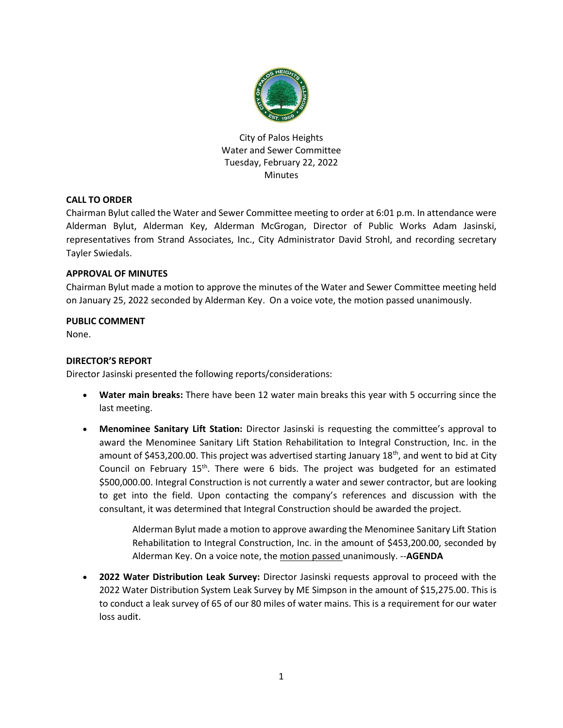

City of Palos Heights Water and Sewer Committee Tuesday, February 22, 2022 **Minutes** 

# **CALL TO ORDER**

Chairman Bylut called the Water and Sewer Committee meeting to order at 6:01 p.m. In attendance were Alderman Bylut, Alderman Key, Alderman McGrogan, Director of Public Works Adam Jasinski, representatives from Strand Associates, Inc., City Administrator David Strohl, and recording secretary Tayler Swiedals.

### **APPROVAL OF MINUTES**

Chairman Bylut made a motion to approve the minutes of the Water and Sewer Committee meeting held on January 25, 2022 seconded by Alderman Key. On a voice vote, the motion passed unanimously.

### **PUBLIC COMMENT**

None.

## **DIRECTOR'S REPORT**

Director Jasinski presented the following reports/considerations:

- **Water main breaks:** There have been 12 water main breaks this year with 5 occurring since the last meeting.
- **Menominee Sanitary Lift Station:** Director Jasinski is requesting the committee's approval to award the Menominee Sanitary Lift Station Rehabilitation to Integral Construction, Inc. in the amount of \$453,200.00. This project was advertised starting January 18<sup>th</sup>, and went to bid at City Council on February  $15<sup>th</sup>$ . There were 6 bids. The project was budgeted for an estimated \$500,000.00. Integral Construction is not currently a water and sewer contractor, but are looking to get into the field. Upon contacting the company's references and discussion with the consultant, it was determined that Integral Construction should be awarded the project.

Alderman Bylut made a motion to approve awarding the Menominee Sanitary Lift Station Rehabilitation to Integral Construction, Inc. in the amount of \$453,200.00, seconded by Alderman Key. On a voice note, the motion passed unanimously. --**AGENDA**

 **2022 Water Distribution Leak Survey:** Director Jasinski requests approval to proceed with the 2022 Water Distribution System Leak Survey by ME Simpson in the amount of \$15,275.00. This is to conduct a leak survey of 65 of our 80 miles of water mains. This is a requirement for our water loss audit.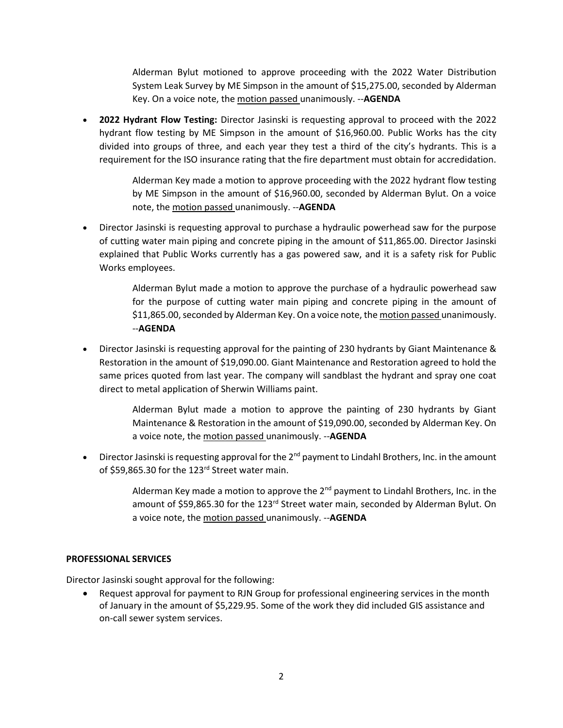Alderman Bylut motioned to approve proceeding with the 2022 Water Distribution System Leak Survey by ME Simpson in the amount of \$15,275.00, seconded by Alderman Key. On a voice note, the motion passed unanimously. --**AGENDA**

 **2022 Hydrant Flow Testing:** Director Jasinski is requesting approval to proceed with the 2022 hydrant flow testing by ME Simpson in the amount of \$16,960.00. Public Works has the city divided into groups of three, and each year they test a third of the city's hydrants. This is a requirement for the ISO insurance rating that the fire department must obtain for accredidation.

> Alderman Key made a motion to approve proceeding with the 2022 hydrant flow testing by ME Simpson in the amount of \$16,960.00, seconded by Alderman Bylut. On a voice note, the motion passed unanimously. --**AGENDA**

 Director Jasinski is requesting approval to purchase a hydraulic powerhead saw for the purpose of cutting water main piping and concrete piping in the amount of \$11,865.00. Director Jasinski explained that Public Works currently has a gas powered saw, and it is a safety risk for Public Works employees.

> Alderman Bylut made a motion to approve the purchase of a hydraulic powerhead saw for the purpose of cutting water main piping and concrete piping in the amount of \$11,865.00, seconded by Alderman Key. On a voice note, the motion passed unanimously. --**AGENDA**

 Director Jasinski is requesting approval for the painting of 230 hydrants by Giant Maintenance & Restoration in the amount of \$19,090.00. Giant Maintenance and Restoration agreed to hold the same prices quoted from last year. The company will sandblast the hydrant and spray one coat direct to metal application of Sherwin Williams paint.

> Alderman Bylut made a motion to approve the painting of 230 hydrants by Giant Maintenance & Restoration in the amount of \$19,090.00, seconded by Alderman Key. On a voice note, the motion passed unanimously. --**AGENDA**

**•** Director Jasinski is requesting approval for the  $2^{nd}$  payment to Lindahl Brothers, Inc. in the amount of \$59,865.30 for the 123<sup>rd</sup> Street water main.

> Alderman Key made a motion to approve the  $2<sup>nd</sup>$  payment to Lindahl Brothers, Inc. in the amount of \$59,865.30 for the 123<sup>rd</sup> Street water main, seconded by Alderman Bylut. On a voice note, the motion passed unanimously. --**AGENDA**

# **PROFESSIONAL SERVICES**

Director Jasinski sought approval for the following:

 Request approval for payment to RJN Group for professional engineering services in the month of January in the amount of \$5,229.95. Some of the work they did included GIS assistance and on-call sewer system services.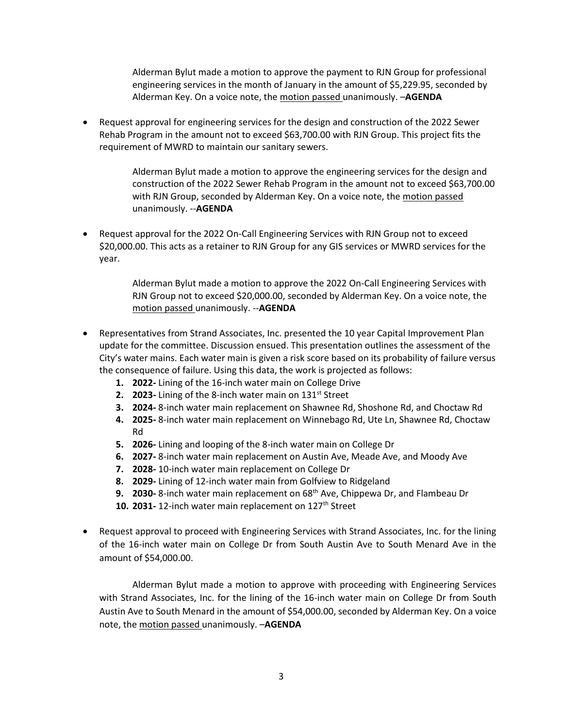Alderman Bylut made a motion to approve the payment to RJN Group for professional engineering services in the month of January in the amount of \$5,229.95, seconded by Alderman Key. On a voice note, the motion passed unanimously. –**AGENDA**

 Request approval for engineering services for the design and construction of the 2022 Sewer Rehab Program in the amount not to exceed \$63,700.00 with RJN Group. This project fits the requirement of MWRD to maintain our sanitary sewers.

> Alderman Bylut made a motion to approve the engineering services for the design and construction of the 2022 Sewer Rehab Program in the amount not to exceed \$63,700.00 with RJN Group, seconded by Alderman Key. On a voice note, the motion passed unanimously. --**AGENDA**

 Request approval for the 2022 On-Call Engineering Services with RJN Group not to exceed \$20,000.00. This acts as a retainer to RJN Group for any GIS services or MWRD services for the year.

> Alderman Bylut made a motion to approve the 2022 On-Call Engineering Services with RJN Group not to exceed \$20,000.00, seconded by Alderman Key. On a voice note, the motion passed unanimously. --**AGENDA**

- Representatives from Strand Associates, Inc. presented the 10 year Capital Improvement Plan update for the committee. Discussion ensued. This presentation outlines the assessment of the City's water mains. Each water main is given a risk score based on its probability of failure versus the consequence of failure. Using this data, the work is projected as follows:
	- **1. 2022-** Lining of the 16-inch water main on College Drive
	- **2. 2023-** Lining of the 8-inch water main on 131st Street
	- **3. 2024-** 8-inch water main replacement on Shawnee Rd, Shoshone Rd, and Choctaw Rd
	- **4. 2025-** 8-inch water main replacement on Winnebago Rd, Ute Ln, Shawnee Rd, Choctaw Rd
	- **5. 2026-** Lining and looping of the 8-inch water main on College Dr
	- **6. 2027-** 8-inch water main replacement on Austin Ave, Meade Ave, and Moody Ave
	- **7. 2028-** 10-inch water main replacement on College Dr
	- **8. 2029-** Lining of 12-inch water main from Golfview to Ridgeland
	- **9. 2030-** 8-inch water main replacement on 68th Ave, Chippewa Dr, and Flambeau Dr
	- 10. 2031-12-inch water main replacement on 127<sup>th</sup> Street
- Request approval to proceed with Engineering Services with Strand Associates, Inc. for the lining of the 16-inch water main on College Dr from South Austin Ave to South Menard Ave in the amount of \$54,000.00.

Alderman Bylut made a motion to approve with proceeding with Engineering Services with Strand Associates, Inc. for the lining of the 16-inch water main on College Dr from South Austin Ave to South Menard in the amount of \$54,000.00, seconded by Alderman Key. On a voice note, the motion passed unanimously. –**AGENDA**